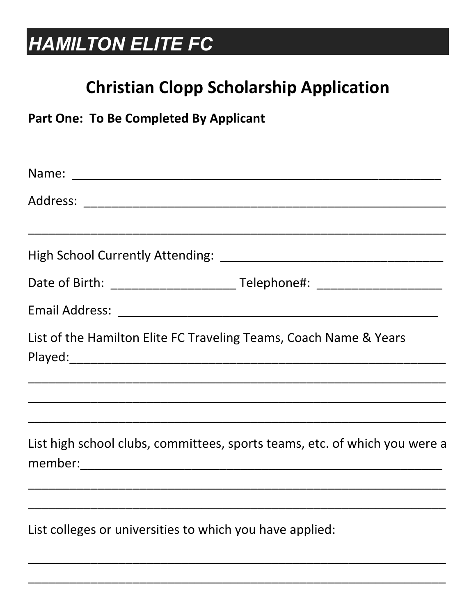## **HAMILTON ELITE FC**

### **Christian Clopp Scholarship Application**

**Part One: To Be Completed By Applicant** 

| List of the Hamilton Elite FC Traveling Teams, Coach Name & Years          |
|----------------------------------------------------------------------------|
|                                                                            |
| List high school clubs, committees, sports teams, etc. of which you were a |
|                                                                            |
| List colleges or universities to which you have applied:                   |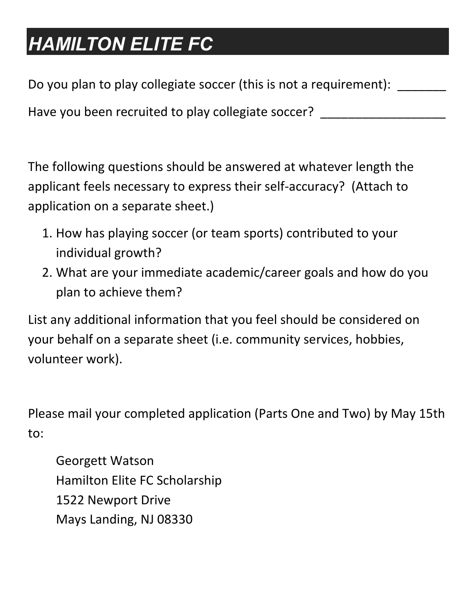## *HAMILTON ELITE FC*

Do you plan to play collegiate soccer (this is not a requirement):

Have you been recruited to play collegiate soccer? \_

The following questions should be answered at whatever length the applicant feels necessary to express their self-accuracy? (Attach to application on a separate sheet.)

- 1. How has playing soccer (or team sports) contributed to your individual growth?
- 2. What are your immediate academic/career goals and how do you plan to achieve them?

List any additional information that you feel should be considered on your behalf on a separate sheet (i.e. community services, hobbies, volunteer work).

Please mail your completed application (Parts One and Two) by May 15th to:

Georgett Watson Hamilton Elite FC Scholarship 1522 Newport Drive Mays Landing, NJ 08330